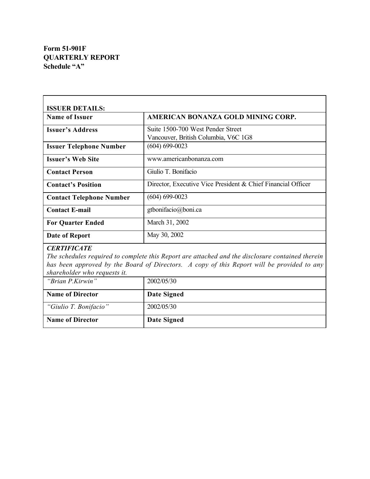# **Form 51-901F QUARTERLY REPORT Schedule "A"**

| <b>ISSUER DETAILS:</b>                             |                                                                                                                                                                                                |
|----------------------------------------------------|------------------------------------------------------------------------------------------------------------------------------------------------------------------------------------------------|
| <b>Name of Issuer</b>                              | AMERICAN BONANZA GOLD MINING CORP.                                                                                                                                                             |
| <b>Issuer's Address</b>                            | Suite 1500-700 West Pender Street<br>Vancouver, British Columbia, V6C 1G8                                                                                                                      |
| <b>Issuer Telephone Number</b>                     | $(604) 699 - 0023$                                                                                                                                                                             |
| <b>Issuer's Web Site</b>                           | www.americanbonanza.com                                                                                                                                                                        |
| <b>Contact Person</b>                              | Giulio T. Bonifacio                                                                                                                                                                            |
| <b>Contact's Position</b>                          | Director, Executive Vice President & Chief Financial Officer                                                                                                                                   |
| <b>Contact Telephone Number</b>                    | $(604) 699 - 0023$                                                                                                                                                                             |
| <b>Contact E-mail</b>                              | gtbonifacio@boni.ca                                                                                                                                                                            |
| <b>For Quarter Ended</b>                           | March 31, 2002                                                                                                                                                                                 |
| <b>Date of Report</b>                              | May 30, 2002                                                                                                                                                                                   |
| <b>CERTIFICATE</b><br>shareholder who requests it. | The schedules required to complete this Report are attached and the disclosure contained therein<br>has been approved by the Board of Directors. A copy of this Report will be provided to any |
| "Brian P.Kirwin"                                   | 2002/05/30                                                                                                                                                                                     |
| <b>Name of Director</b>                            | <b>Date Signed</b>                                                                                                                                                                             |
| "Giulio T. Bonifacio"                              | 2002/05/30                                                                                                                                                                                     |
| <b>Name of Director</b>                            | <b>Date Signed</b>                                                                                                                                                                             |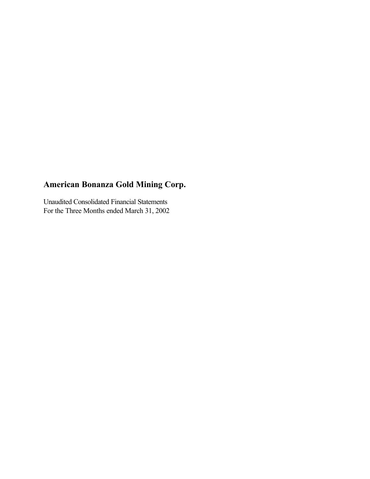Unaudited Consolidated Financial Statements For the Three Months ended March 31, 2002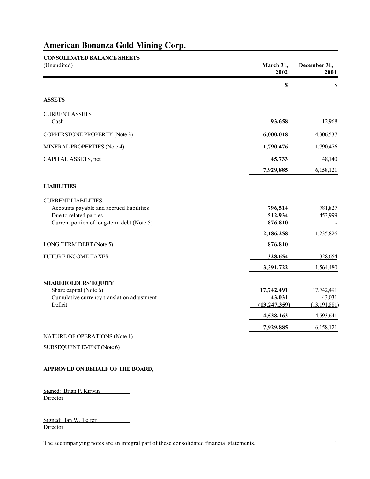| <b>CONSOLIDATED BALANCE SHEETS</b><br>(Unaudited)                                                                                              | March 31,<br>2002                      | December 31,<br>2001                   |
|------------------------------------------------------------------------------------------------------------------------------------------------|----------------------------------------|----------------------------------------|
|                                                                                                                                                | \$                                     | \$                                     |
| <b>ASSETS</b>                                                                                                                                  |                                        |                                        |
| <b>CURRENT ASSETS</b><br>Cash                                                                                                                  | 93,658                                 | 12,968                                 |
| COPPERSTONE PROPERTY (Note 3)                                                                                                                  | 6,000,018                              | 4,306,537                              |
| MINERAL PROPERTIES (Note 4)                                                                                                                    | 1,790,476                              | 1,790,476                              |
| CAPITAL ASSETS, net                                                                                                                            | 45,733                                 | 48,140                                 |
|                                                                                                                                                | 7,929,885                              | 6,158,121                              |
| <b>LIABILITIES</b>                                                                                                                             |                                        |                                        |
| <b>CURRENT LIABILITIES</b><br>Accounts payable and accrued liabilities<br>Due to related parties<br>Current portion of long-term debt (Note 5) | 796,514<br>512,934<br>876,810          | 781,827<br>453,999                     |
|                                                                                                                                                | 2,186,258                              | 1,235,826                              |
| LONG-TERM DEBT (Note 5)                                                                                                                        | 876,810                                |                                        |
| <b>FUTURE INCOME TAXES</b>                                                                                                                     | 328,654                                | 328,654                                |
|                                                                                                                                                | 3,391,722                              | 1,564,480                              |
| <b>SHAREHOLDERS' EQUITY</b><br>Share capital (Note 6)<br>Cumulative currency translation adjustment<br>Deficit                                 | 17,742,491<br>43,031<br>(13, 247, 359) | 17,742,491<br>43,031<br>(13, 191, 881) |
|                                                                                                                                                | 4,538,163                              | 4,593,641                              |
|                                                                                                                                                | 7,929,885                              | 6,158,121                              |
| NATURE OF OPERATIONS (Note 1)                                                                                                                  |                                        |                                        |
| SUBSEQUENT EVENT (Note 6)                                                                                                                      |                                        |                                        |
| APPROVED ON BEHALF OF THE BOARD,                                                                                                               |                                        |                                        |

Signed: Brian P. Kirwin Director

| Signed: Ian W. Telfer |  |  |  |
|-----------------------|--|--|--|
| Director              |  |  |  |

The accompanying notes are an integral part of these consolidated financial statements. 1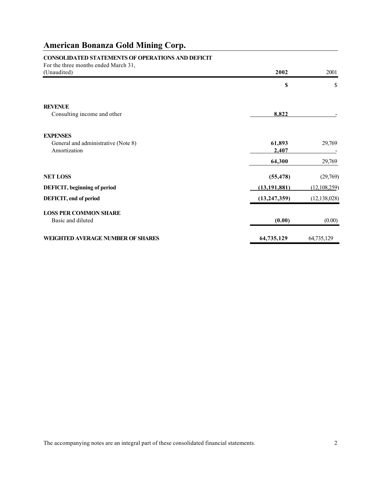# **CONSOLIDATED STATEMENTS OF OPERATIONS AND DEFICIT**

| For the three months ended March 31,<br>(Unaudited) | 2002           | 2001           |
|-----------------------------------------------------|----------------|----------------|
|                                                     |                |                |
|                                                     | \$             | \$             |
| <b>REVENUE</b>                                      |                |                |
| Consulting income and other                         | 8,822          |                |
| <b>EXPENSES</b>                                     |                |                |
| General and administrative (Note 8)                 | 61,893         | 29,769         |
| Amortization                                        | 2,407          |                |
|                                                     | 64,300         | 29,769         |
| <b>NET LOSS</b>                                     | (55, 478)      | (29,769)       |
| DEFICIT, beginning of period                        | (13, 191, 881) | (12, 108, 259) |
| DEFICIT, end of period                              | (13, 247, 359) | (12, 138, 028) |
| <b>LOSS PER COMMON SHARE</b>                        |                |                |
| Basic and diluted                                   | (0.00)         | (0.00)         |
| <b>WEIGHTED AVERAGE NUMBER OF SHARES</b>            | 64,735,129     | 64,735,129     |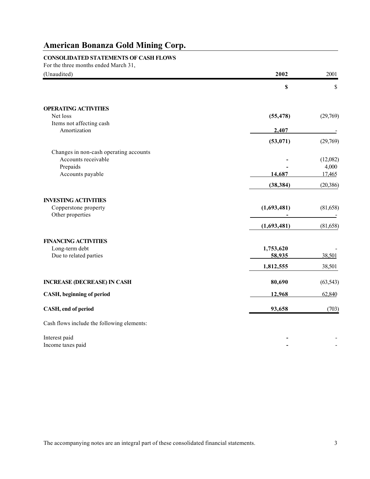### **CONSOLIDATED STATEMENTS OF CASH FLOWS**

For the three months ended March 31,

| (Unaudited)                                | 2002        | 2001        |
|--------------------------------------------|-------------|-------------|
|                                            | \$          | $\mathbb S$ |
| <b>OPERATING ACTIVITIES</b>                |             |             |
| Net loss                                   | (55, 478)   | (29,769)    |
| Items not affecting cash<br>Amortization   | 2,407       |             |
|                                            | (53, 071)   | (29,769)    |
| Changes in non-cash operating accounts     |             |             |
| Accounts receivable                        |             | (12,082)    |
| Prepaids                                   |             | 4,000       |
| Accounts payable                           | 14,687      | 17,465      |
|                                            | (38, 384)   | (20, 386)   |
| <b>INVESTING ACTIVITIES</b>                |             |             |
| Copperstone property                       | (1,693,481) | (81, 658)   |
| Other properties                           |             |             |
|                                            | (1,693,481) | (81,658)    |
| <b>FINANCING ACTIVITIES</b>                |             |             |
| Long-term debt                             | 1,753,620   |             |
| Due to related parties                     | 58,935      | 38,501      |
|                                            | 1,812,555   | 38,501      |
| <b>INCREASE (DECREASE) IN CASH</b>         | 80,690      | (63, 543)   |
| CASH, beginning of period                  | 12,968      | 62,840      |
|                                            |             |             |
| CASH, end of period                        | 93,658      | (703)       |
| Cash flows include the following elements: |             |             |
| Interest paid                              |             |             |
| Income taxes paid                          |             |             |

The accompanying notes are an integral part of these consolidated financial statements. 3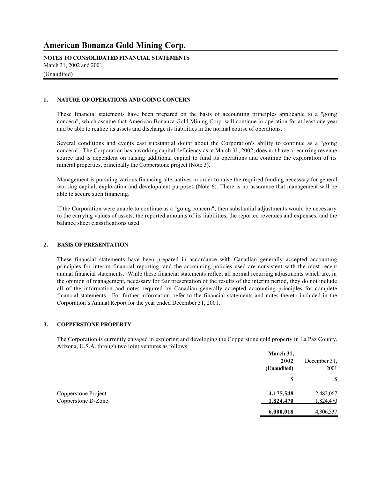**NOTES TO CONSOLIDATED FINANCIAL STATEMENTS** March 31, 2002 and 2001

(Unaudited)

### **1. NATURE OF OPERATIONS AND GOING CONCERN**

These financial statements have been prepared on the basis of accounting principles applicable to a "going concern", which assume that American Bonanza Gold Mining Corp. will continue in operation for at least one year and be able to realize its assets and discharge its liabilities in the normal course of operations.

Several conditions and events cast substantial doubt about the Corporation's ability to continue as a "going concern". The Corporation has a working capital deficiency as at March 31, 2002, does not have a recurring revenue source and is dependent on raising additional capital to fund its operations and continue the exploration of its mineral properties, principally the Copperstone project (Note 3).

Management is pursuing various financing alternatives in order to raise the required funding necessary for general working capital, exploration and development purposes (Note 6). There is no assurance that management will be able to secure such financing.

If the Corporation were unable to continue as a "going concern", then substantial adjustments would be necessary to the carrying values of assets, the reported amounts of its liabilities, the reported revenues and expenses, and the balance sheet classifications used.

### **2. BASIS OF PRESENTATION**

These financial statements have been prepared in accordance with Canadian generally accepted accounting principles for interim financial reporting, and the accounting policies used are consistent with the most recent annual financial statements. While these financial statements reflect all normal recurring adjustments which are, in the opinion of management, necessary for fair presentation of the results of the interim period, they do not include all of the information and notes required by Canadian generally accepted accounting principles for complete financial statements. For further information, refer to the financial statements and notes thereto included in the Corporation's Annual Report for the year ended December 31, 2001.

### **3. COPPERSTONE PROPERTY**

The Corporation is currently engaged in exploring and developing the Copperstone gold property in La Paz County, Arizona, U.S.A. through two joint ventures as follows:

|                     | March 31,<br>2002<br>(Unaudited) | December 31,<br>2001 |
|---------------------|----------------------------------|----------------------|
|                     | S                                | \$                   |
| Copperstone Project | 4,175,548                        | 2,482,067            |
| Copperstone D-Zone  | 1,824,470                        | 1,824,470            |
|                     | 6,000,018                        | 4,306,537            |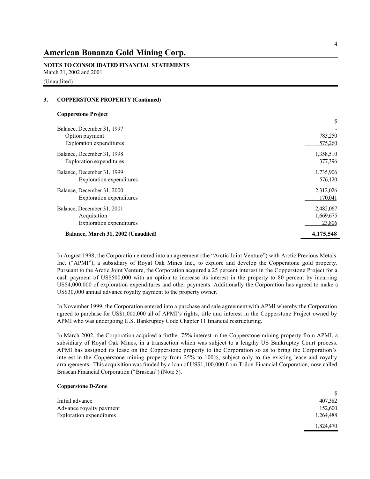**NOTES TO CONSOLIDATED FINANCIAL STATEMENTS** March 31, 2002 and 2001

(Unaudited)

### **3. COPPERSTONE PROPERTY (Continued)**

### **Copperstone Project**

|                                     | \$        |
|-------------------------------------|-----------|
| Balance, December 31, 1997          |           |
| Option payment                      | 783,250   |
| <b>Exploration</b> expenditures     | 575,260   |
| Balance, December 31, 1998          | 1,358,510 |
| Exploration expenditures            | 377,396   |
| Balance, December 31, 1999          | 1,735,906 |
| Exploration expenditures            | 576,120   |
| Balance, December 31, 2000          | 2,312,026 |
| Exploration expenditures            | 170,041   |
| Balance, December 31, 2001          | 2,482,067 |
| Acquisition                         | 1,669,675 |
| <b>Exploration</b> expenditures     | 23,806    |
| Balance, March 31, 2002 (Unaudited) | 4,175,548 |

In August 1998, the Corporation entered into an agreement (the "Arctic Joint Venture") with Arctic Precious Metals Inc. ("APMI"), a subsidiary of Royal Oak Mines Inc., to explore and develop the Copperstone gold property. Pursuant to the Arctic Joint Venture, the Corporation acquired a 25 percent interest in the Copperstone Project for a cash payment of US\$500,000 with an option to increase its interest in the property to 80 percent by incurring US\$4,000,000 of exploration expenditures and other payments. Additionally the Corporation has agreed to make a US\$30,000 annual advance royalty payment to the property owner.

In November 1999, the Corporation entered into a purchase and sale agreement with APMI whereby the Corporation agreed to purchase for US\$1,000,000 all of APMI's rights, title and interest in the Copperstone Project owned by APMI who was undergoing U.S. Bankruptcy Code Chapter 11 financial restructuring.

In March 2002, the Corporation acquired a further 75% interest in the Copperstone mining property from APMI, a subsidiary of Royal Oak Mines, in a transaction which was subject to a lengthy US Bankruptcy Court process. APMI has assigned its lease on the Copperstone property to the Corporation so as to bring the Corporation's interest in the Copperstone mining property from 25% to 100%, subject only to the existing lease and royalty arrangements. This acquisition was funded by a loan of US\$1,100,000 from Trilon Financial Corporation, now called Brascan Financial Corporation ("Brascan") (Note 5).

### **Copperstone D-Zone**

| Initial advance          | 407,382   |
|--------------------------|-----------|
| Advance royalty payment  | 152,600   |
| Exploration expenditures | 1,264,488 |
|                          | 1,824,470 |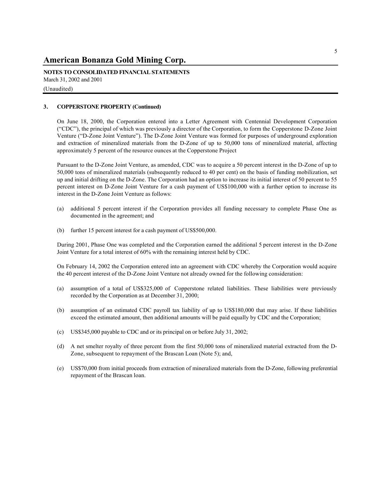**NOTES TO CONSOLIDATED FINANCIAL STATEMENTS** March 31, 2002 and 2001 (Unaudited)

### **3. COPPERSTONE PROPERTY (Continued)**

On June 18, 2000, the Corporation entered into a Letter Agreement with Centennial Development Corporation ("CDC"), the principal of which was previously a director of the Corporation, to form the Copperstone D-Zone Joint Venture ("D-Zone Joint Venture"). The D-Zone Joint Venture was formed for purposes of underground exploration and extraction of mineralized materials from the D-Zone of up to 50,000 tons of mineralized material, affecting approximately 5 percent of the resource ounces at the Copperstone Project

Pursuant to the D-Zone Joint Venture, as amended, CDC was to acquire a 50 percent interest in the D-Zone of up to 50,000 tons of mineralized materials (subsequently reduced to 40 per cent) on the basis of funding mobilization, set up and initial drifting on the D-Zone. The Corporation had an option to increase its initial interest of 50 percent to 55 percent interest on D-Zone Joint Venture for a cash payment of US\$100,000 with a further option to increase its interest in the D-Zone Joint Venture as follows:

- (a) additional 5 percent interest if the Corporation provides all funding necessary to complete Phase One as documented in the agreement; and
- (b) further 15 percent interest for a cash payment of US\$500,000.

During 2001, Phase One was completed and the Corporation earned the additional 5 percent interest in the D-Zone Joint Venture for a total interest of 60% with the remaining interest held by CDC.

On February 14, 2002 the Corporation entered into an agreement with CDC whereby the Corporation would acquire the 40 percent interest of the D-Zone Joint Venture not already owned for the following consideration:

- (a) assumption of a total of US\$325,000 of Copperstone related liabilities. These liabilities were previously recorded by the Corporation as at December 31, 2000;
- (b) assumption of an estimated CDC payroll tax liability of up to US\$180,000 that may arise. If these liabilities exceed the estimated amount, then additional amounts will be paid equally by CDC and the Corporation;
- (c) US\$345,000 payable to CDC and or its principal on or before July 31, 2002;
- (d) A net smelter royalty of three percent from the first 50,000 tons of mineralized material extracted from the D-Zone, subsequent to repayment of the Brascan Loan (Note 5); and,
- (e) US\$70,000 from initial proceeds from extraction of mineralized materials from the D-Zone, following preferential repayment of the Brascan loan.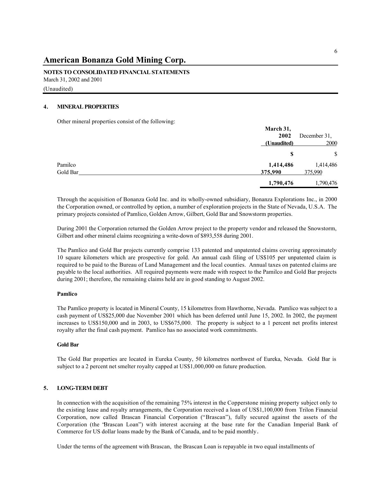**NOTES TO CONSOLIDATED FINANCIAL STATEMENTS** March 31, 2002 and 2001 (Unaudited)

### **4. MINERAL PROPERTIES**

Other mineral properties consist of the following:

| March 31,            |              |
|----------------------|--------------|
| 2002                 | December 31, |
| (Unaudited)          | 2000         |
|                      | \$<br>S      |
| Pamilco<br>1,414,486 | 1,414,486    |
| Gold Bar<br>375,990  | 375,990      |
| 1,790,476            | 1,790,476    |

Through the acquisition of Bonanza Gold Inc. and its wholly-owned subsidiary, Bonanza Explorations Inc., in 2000 the Corporation owned, or controlled by option, a number of exploration projects in the State of Nevada, U.S.A. The primary projects consisted of Pamlico, Golden Arrow, Gilbert, Gold Bar and Snowstorm properties.

During 2001 the Corporation returned the Golden Arrow project to the property vendor and released the Snowstorm, Gilbert and other mineral claims recognizing a write-down of \$893,558 during 2001.

The Pamlico and Gold Bar projects currently comprise 133 patented and unpatented claims covering approximately 10 square kilometers which are prospective for gold. An annual cash filing of US\$105 per unpatented claim is required to be paid to the Bureau of Land Management and the local counties. Annual taxes on patented claims are payable to the local authorities. All required payments were made with respect to the Pamilco and Gold Bar projects during 2001; therefore, the remaining claims held are in good standing to August 2002.

### **Pamlico**

The Pamlico property is located in Mineral County, 15 kilometres from Hawthorne, Nevada. Pamlico was subject to a cash payment of US\$25,000 due November 2001 which has been deferred until June 15, 2002. In 2002, the payment increases to US\$150,000 and in 2003, to US\$675,000. The property is subject to a 1 percent net profits interest royalty after the final cash payment. Pamlico has no associated work commitments.

### **Gold Bar**

The Gold Bar properties are located in Eureka County, 50 kilometres northwest of Eureka, Nevada. Gold Bar is subject to a 2 percent net smelter royalty capped at US\$1,000,000 on future production.

### **5. LONG-TERM DEBT**

In connection with the acquisition of the remaining 75% interest in the Copperstone mining property subject only to the existing lease and royalty arrangements, the Corporation received a loan of US\$1,100,000 from Trilon Financial Corporation, now called Brascan Financial Corporation ("Brascan"), fully secured against the assets of the Corporation (the "Brascan Loan") with interest accruing at the base rate for the Canadian Imperial Bank of Commerce for US dollar loans made by the Bank of Canada, and to be paid monthly.

Under the terms of the agreement with Brascan, the Brascan Loan is repayable in two equal installments of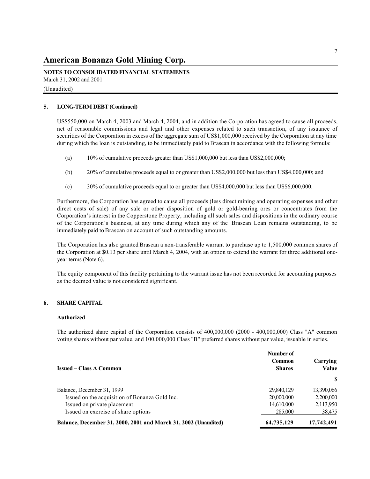**NOTES TO CONSOLIDATED FINANCIAL STATEMENTS** March 31, 2002 and 2001 (Unaudited)

### **5. LONG-TERM DEBT (Continued)**

US\$550,000 on March 4, 2003 and March 4, 2004, and in addition the Corporation has agreed to cause all proceeds, net of reasonable commissions and legal and other expenses related to such transaction, of any issuance of securities of the Corporation in excess of the aggregate sum of US\$1,000,000 received by the Corporation at any time during which the loan is outstanding, to be immediately paid to Brascan in accordance with the following formula:

- (a) 10% of cumulative proceeds greater than US\$1,000,000 but less than US\$2,000,000;
- (b) 20% of cumulative proceeds equal to or greater than US\$2,000,000 but less than US\$4,000,000; and
- (c) 30% of cumulative proceeds equal to or greater than US\$4,000,000 but less than US\$6,000,000.

Furthermore, the Corporation has agreed to cause all proceeds (less direct mining and operating expenses and other direct costs of sale) of any sale or other disposition of gold or gold-bearing ores or concentrates from the Corporation's interest in the Copperstone Property, including all such sales and dispositions in the ordinary course of the Corporation's business, at any time during which any of the Brascan Loan remains outstanding, to be immediately paid to Brascan on account of such outstanding amounts.

The Corporation has also granted Brascan a non-transferable warrant to purchase up to 1,500,000 common shares of the Corporation at \$0.13 per share until March 4, 2004, with an option to extend the warrant for three additional oneyear terms (Note 6).

The equity component of this facility pertaining to the warrant issue has not been recorded for accounting purposes as the deemed value is not considered significant.

### **6. SHARE CAPITAL**

### **Authorized**

The authorized share capital of the Corporation consists of 400,000,000 (2000 - 400,000,000) Class "A" common voting shares without par value, and 100,000,000 Class "B" preferred shares without par value, issuable in series.

|                                                                 | Number of<br><b>Common</b> | Carrying    |
|-----------------------------------------------------------------|----------------------------|-------------|
| <b>Issued – Class A Common</b>                                  | <b>Shares</b>              | Value<br>\$ |
| Balance, December 31, 1999                                      | 29,840,129                 | 13,390,066  |
| Issued on the acquisition of Bonanza Gold Inc.                  | 20,000,000                 | 2,200,000   |
| Issued on private placement                                     | 14,610,000                 | 2,113,950   |
| Issued on exercise of share options                             | 285,000                    | 38,475      |
| Balance, December 31, 2000, 2001 and March 31, 2002 (Unaudited) | 64,735,129                 | 17,742,491  |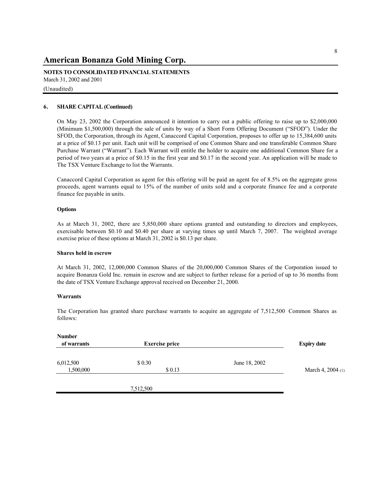**NOTES TO CONSOLIDATED FINANCIAL STATEMENTS** March 31, 2002 and 2001 (Unaudited)

### **6. SHARE CAPITAL (Continued)**

On May 23, 2002 the Corporation announced it intention to carry out a public offering to raise up to \$2,000,000 (Minimum \$1,500,000) through the sale of units by way of a Short Form Offering Document ("SFOD"). Under the SFOD, the Corporation, through its Agent, Canaccord Capital Corporation, proposes to offer up to 15,384,600 units at a price of \$0.13 per unit. Each unit will be comprised of one Common Share and one transferable Common Share Purchase Warrant ("Warrant"). Each Warrant will entitle the holder to acquire one additional Common Share for a period of two years at a price of \$0.15 in the first year and \$0.17 in the second year. An application will be made to The TSX Venture Exchange to list the Warrants.

Canaccord Capital Corporation as agent for this offering will be paid an agent fee of 8.5% on the aggregate gross proceeds, agent warrants equal to 15% of the number of units sold and a corporate finance fee and a corporate finance fee payable in units.

### **Options**

As at March 31, 2002, there are 5,850,000 share options granted and outstanding to directors and employees, exercisable between \$0.10 and \$0.40 per share at varying times up until March 7, 2007. The weighted average exercise price of these options at March 31, 2002 is \$0.13 per share.

### **Shares held in escrow**

At March 31, 2002, 12,000,000 Common Shares of the 20,000,000 Common Shares of the Corporation issued to acquire Bonanza Gold Inc. remain in escrow and are subject to further release for a period of up to 36 months from the date of TSX Venture Exchange approval received on December 21, 2000.

### **Warrants**

The Corporation has granted share purchase warrants to acquire an aggregate of 7,512,500 Common Shares as follows:

| <b>Number</b><br>of warrants | <b>Exercise price</b> |               | <b>Expiry date</b> |
|------------------------------|-----------------------|---------------|--------------------|
| 6,012,500<br>1,500,000       | \$0.30<br>\$0.13      | June 18, 2002 | March 4, 2004 (1)  |
|                              | 7,512,500             |               |                    |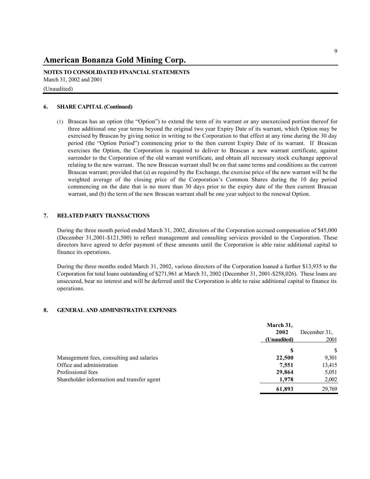**NOTES TO CONSOLIDATED FINANCIAL STATEMENTS** March 31, 2002 and 2001 (Unaudited)

### **6. SHARE CAPITAL (Continued)**

(1) Brascan has an option (the "Option") to extend the term of its warrant or any unexercised portion thereof for three additional one year terms beyond the original two year Expiry Date of its warrant, which Option may be exercised by Brascan by giving notice in writing to the Corporation to that effect at any time during the 30 day period (the "Option Period") commencing prior to the then current Expiry Date of its warrant. If Brascan exercises the Option, the Corporation is required to deliver to Brascan a new warrant certificate, against surrender to the Corporation of the old warrant wertificate, and obtain all necessary stock exchange approval relating to the new warrant. The new Brascan warrant shall be on that same terms and conditions as the current Brascan warrant; provided that (a) as required by the Exchange, the exercise price of the new warrant will be the weighted average of the closing price of the Corporation's Common Shares during the 10 day period commencing on the date that is no more than 30 days prior to the expiry date of the then current Brascan warrant, and (b) the term of the new Brascan warrant shall be one year subject to the renewal Option.

### **7. RELATED PARTY TRANSACTIONS**

During the three month period ended March 31, 2002, directors of the Corporation accrued compensation of \$45,000 (December 31,2001-\$121,500) to reflect management and consulting services provided to the Corporation. These directors have agreed to defer payment of these amounts until the Corporation is able raise additional capital to finance its operations.

During the three months ended March 31, 2002, various directors of the Corporation loaned a further \$13,935 to the Corporation for total loans outstanding of \$271,961 at March 31, 2002 (December 31, 2001-\$258,026). These loans are unsecured, bear no interest and will be deferred until the Corporation is able to raise additional capital to finance its operations.

### **8. GENERAL AND ADMINISTRATIVE EXPENSES**

|                                            | March 31,   |              |
|--------------------------------------------|-------------|--------------|
|                                            | 2002        | December 31. |
|                                            | (Unaudited) | 2001         |
|                                            | \$          | \$           |
| Management fees, consulting and salaries   | 22,500      | 9.301        |
| Office and administration                  | 7,551       | 13,415       |
| Professional fees                          | 29,864      | 5,051        |
| Shareholder information and transfer agent | 1,978       | 2,002        |
|                                            | 61,893      | 29.769       |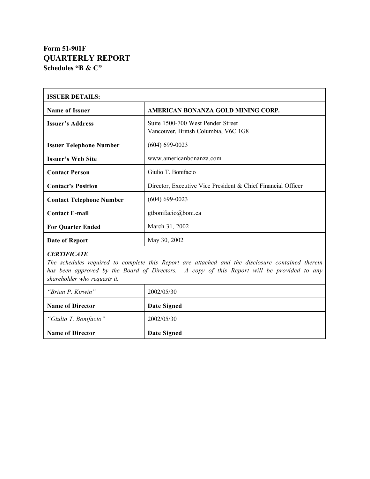# **Form 51-901F QUARTERLY REPORT Schedules "B & C"**

| <b>ISSUER DETAILS:</b>          |                                                                           |  |  |  |
|---------------------------------|---------------------------------------------------------------------------|--|--|--|
| <b>Name of Issuer</b>           | AMERICAN BONANZA GOLD MINING CORP.                                        |  |  |  |
| <b>Issuer's Address</b>         | Suite 1500-700 West Pender Street<br>Vancouver, British Columbia, V6C 1G8 |  |  |  |
| <b>Issuer Telephone Number</b>  | $(604) 699 - 0023$                                                        |  |  |  |
| <b>Issuer's Web Site</b>        | www.americanbonanza.com                                                   |  |  |  |
| <b>Contact Person</b>           | Giulio T. Bonifacio                                                       |  |  |  |
| <b>Contact's Position</b>       | Director, Executive Vice President & Chief Financial Officer              |  |  |  |
| <b>Contact Telephone Number</b> | $(604) 699 - 0023$                                                        |  |  |  |
| <b>Contact E-mail</b>           | gtbonifacio@boni.ca                                                       |  |  |  |
| <b>For Quarter Ended</b>        | March 31, 2002                                                            |  |  |  |
| Date of Report                  | May 30, 2002                                                              |  |  |  |

# *CERTIFICATE*

*The schedules required to complete this Report are attached and the disclosure contained therein has been approved by the Board of Directors. A copy of this Report will be provided to any shareholder who requests it.*

| <i>"Brian P. Kirwin"</i> | 2002/05/30  |
|--------------------------|-------------|
| <b>Name of Director</b>  | Date Signed |
| "Giulio T. Bonifacio"    | 2002/05/30  |
| <b>Name of Director</b>  | Date Signed |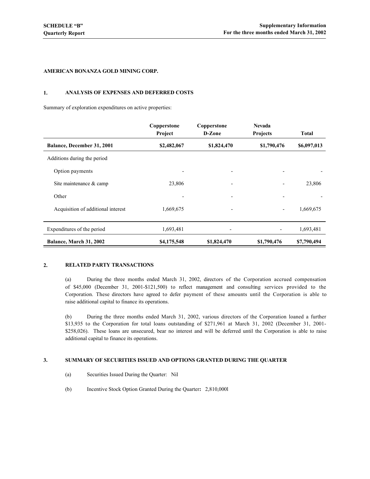### **AMERICAN BONANZA GOLD MINING CORP.**

### **1. ANALYSIS OF EXPENSES AND DEFERRED COSTS**

Summary of exploration expenditures on active properties:

|                                    | Copperstone<br>Project | Copperstone<br>D-Zone    | <b>Nevada</b><br>Projects | <b>Total</b> |
|------------------------------------|------------------------|--------------------------|---------------------------|--------------|
| Balance, December 31, 2001         | \$2,482,067            | \$1,824,470              | \$1,790,476               | \$6,097,013  |
| Additions during the period        |                        |                          |                           |              |
| Option payments                    | -                      | $\overline{\phantom{a}}$ | $\overline{\phantom{0}}$  |              |
| Site maintenance $\&$ camp         | 23,806                 |                          |                           | 23,806       |
| Other                              |                        |                          | $\overline{\phantom{0}}$  |              |
| Acquisition of additional interest | 1,669,675              | -                        | $\overline{\phantom{a}}$  | 1,669,675    |
| Expenditures of the period         | 1,693,481              | $\overline{\phantom{a}}$ |                           | 1,693,481    |
| Balance, March 31, 2002            | \$4,175,548            | \$1,824,470              | \$1,790,476               | \$7,790,494  |

### **2. RELATED PARTY TRANSACTIONS**

(a) During the three months ended March 31, 2002, directors of the Corporation accrued compensation of \$45,000 (December 31, 2001-\$121,500) to reflect management and consulting services provided to the Corporation. These directors have agreed to defer payment of these amounts until the Corporation is able to raise additional capital to finance its operations.

(b) During the three months ended March 31, 2002, various directors of the Corporation loaned a further \$13,935 to the Corporation for total loans outstanding of \$271,961 at March 31, 2002 (December 31, 2001-\$258,026). These loans are unsecured, bear no interest and will be deferred until the Corporation is able to raise additional capital to finance its operations.

### **3. SUMMARY OF SECURITIES ISSUED AND OPTIONS GRANTED DURING THE QUARTER**

- (a) Securities Issued During the Quarter: Nil
- (b) Incentive Stock Option Granted During the Quarter**:** 2,810,000l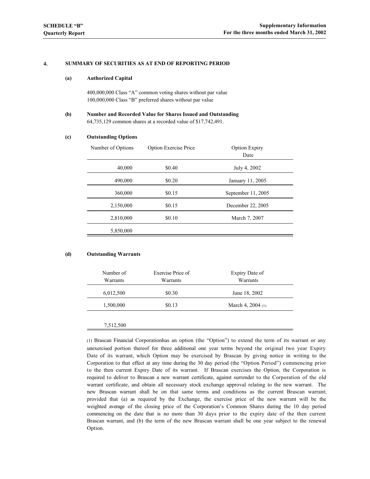### **4. SUMMARY OF SECURITIES AS AT END OF REPORTING PERIOD**

#### **(a) Authorized Capital**

400,000,000 Class "A" common voting shares without par value 100,000,000 Class "B" preferred shares without par value

### **(b) Number and Recorded Value for Shares Issued and Outstanding** 64,735,129 common shares at a recorded value of \$17,742,491.

#### **(c) Outstanding Options**

| Number of Options | <b>Option Exercise Price</b> | Option Expiry<br>Date |
|-------------------|------------------------------|-----------------------|
| 40,000            | \$0.40                       | July 4, 2002          |
| 490,000           | \$0.20                       | January 11, 2005      |
| 360,000           | \$0.15                       | September 11, 2005    |
| 2,150,000         | \$0.15                       | December 22, 2005     |
| 2,810,000         | \$0.10                       | March 7, 2007         |
| 5,850,000         |                              |                       |

### **(d) Outstanding Warrants**

| Number of<br>Warrants | Exercise Price of<br>Warrants | Expiry Date of<br>Warrants |
|-----------------------|-------------------------------|----------------------------|
| 6,012,500             | \$0.30                        | June 18, 2002              |
| 1,500,000             | \$0.13                        | March 4, 2004 $(1)$        |
| 7,512,500             |                               |                            |

(1) Brascan Financial Corporationhas an option (the "Option") to extend the term of its warrant or any unexercised portion thereof for three additional one year terms beyond the original two year Expiry Date of its warrant, which Option may be exercised by Brascan by giving notice in writing to the Corporation to that effect at any time during the 30 day period (the "Option Period") commencing prior to the then current Expiry Date of its warrant. If Brascan exercises the Option, the Corporation is required to deliver to Brascan a new warrant certificate, against surrender to the Corporation of the old warrant certificate, and obtain all necessary stock exchange approval relating to the new warrant. The new Brascan warrant shall be on that same terms and conditions as the current Brascan warrant; provided that (a) as required by the Exchange, the exercise price of the new warrant will be the weighted average of the closing price of the Corporation's Common Shares during the 10 day period commencing on the date that is no more than 30 days prior to the expiry date of the then current Brascan warrant, and (b) the term of the new Brascan warrant shall be one year subject to the renewal Option.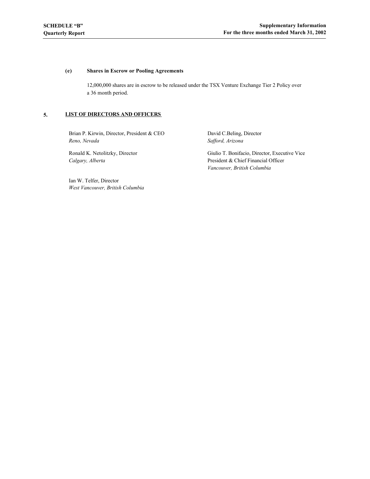### **(e) Shares in Escrow or Pooling Agreements**

12,000,000 shares are in escrow to be released under the TSX Venture Exchange Tier 2 Policy over a 36 month period.

### **5. LIST OF DIRECTORS AND OFFICERS**

Brian P. Kirwin, Director, President & CEO *Reno, Nevada*

Ronald K. Netolitzky, Director *Calgary, Alberta*

Ian W. Telfer, Director *West Vancouver, British Columbia* David C.Beling, Director *Safford, Arizona*

Giulio T. Bonifacio, Director, Executive Vice President & Chief Financial Officer *Vancouver, British Columbia*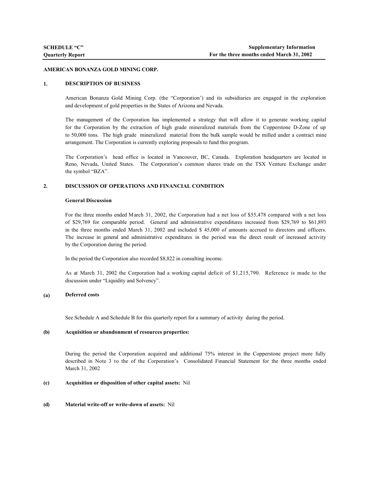### **AMERICAN BONANZA GOLD MINING CORP.**

### **1. DESCRIPTION OF BUSINESS**

American Bonanza Gold Mining Corp. (the "Corporation') and its subsidiaries are engaged in the exploration and development of gold properties in the States of Arizona and Nevada.

The management of the Corporation has implemented a strategy that will allow it to generate working capital for the Corporation by the extraction of high grade mineralized materials from the Copperstone D-Zone of up to 50,000 tons. The high grade mineralized material from the bulk sample would be milled under a contract mine arrangement. The Corporation is currently exploring proposals to fund this program.

The Corporation's head office is located in Vancouver, BC, Canada. Exploration headquarters are located in Reno, Nevada, United States. The Corporation's common shares trade on the TSX Venture Exchange under the symbol "BZA".

### **2. DISCUSSION OF OPERATIONS AND FINANCIAL CONDITION**

### **General Discussion**

For the three months ended M arch 31, 2002, the Corporation had a net loss of \$55,478 compared with a net loss of \$29,769 for comparable period. General and administrative expenditures increased from \$29,769 to \$61,893 in the three months ended March 31, 2002 and included \$ 45,000 of amounts accrued to directors and officers. The increase in general and administrative expenditures in the period was the direct result of increased activity by the Corporation during the period.

In the period the Corporation also recorded \$8,822 in consulting income.

As at March 31, 2002 the Corporation had a working capital deficit of \$1,215,790. Reference is made to the discussion under "Liquidity and Solvency".

### **(a) Deferred costs**

See Schedule A and Schedule B for this quarterly report for a summary of activity during the period.

### **(b) Acquisition or abandonment of resources properties:**

During the period the Corporation acquired and additional 75% interest in the Copperstone project more fully described in Note 3 to the of the Corporation's Consolidated Financial Statement for the three months ended March 31, 2002

### **(c) Acquisition or disposition of other capital assets:** Nil

#### **(d) Material write-off or write-down of assets:** Nil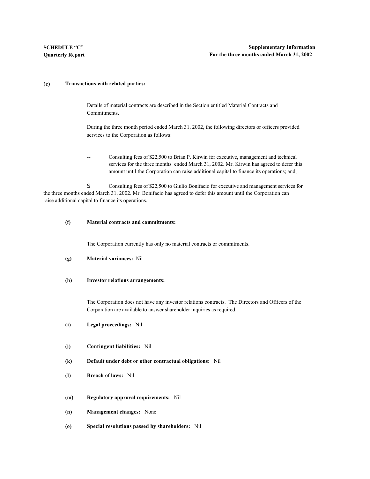### **(e) Transactions with related parties:**

Details of material contracts are described in the Section entitled Material Contracts and Commitments.

During the three month period ended March 31, 2002, the following directors or officers provided services to the Corporation as follows:

Consulting fees of \$22,500 to Brian P. Kirwin for executive, management and technical services for the three months ended March 31, 2002. Mr. Kirwin has agreed to defer this amount until the Corporation can raise additional capital to finance its operations; and,

S Consulting fees of \$22,500 to Giulio Bonifacio for executive and management services for the three months ended March 31, 2002. Mr. Bonifacio has agreed to defer this amount until the Corporation can raise additional capital to finance its operations.

### **(f) Material contracts and commitments:**

The Corporation currently has only no material contracts or commitments.

### **(g) Material variances:** Nil

### **(h) Investor relations arrangements:**

The Corporation does not have any investor relations contracts. The Directors and Officers of the Corporation are available to answer shareholder inquiries as required.

### **(i) Legal proceedings:** Nil

### **(j) Contingent liabilities:** Nil

- **(k) Default under debt or other contractual obligations:** Nil
- **(l) Breach of laws:** Nil
- **(m) Regulatory approval requirements:** Nil
- **(n) Management changes:** None
- **(o) Special resolutions passed by shareholders:** Nil